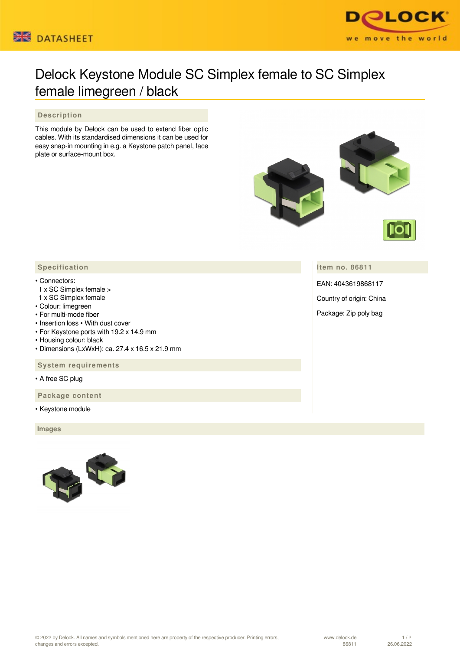



## Delock Keystone Module SC Simplex female to SC Simplex female limegreen / black

## **Description**

This module by Delock can be used to extend fiber optic cables. With its standardised dimensions it can be used for easy snap-in mounting in e.g. a Keystone patch panel, face plate or surface-mount box.



**Item no. 86811**

EAN: 4043619868117

Country of origin: China

Package: Zip poly bag

## **Specification**

## • Connectors:

- 1 x SC Simplex female >
- 1 x SC Simplex female
- Colour: limegreen
- For multi-mode fiber
- Insertion loss With dust cover
- For Keystone ports with 19.2 x 14.9 mm
- Housing colour: black
- Dimensions (LxWxH): ca. 27.4 x 16.5 x 21.9 mm

 **System requirements**

• A free SC plug

 **Package content**

• Keystone module

 **Images**